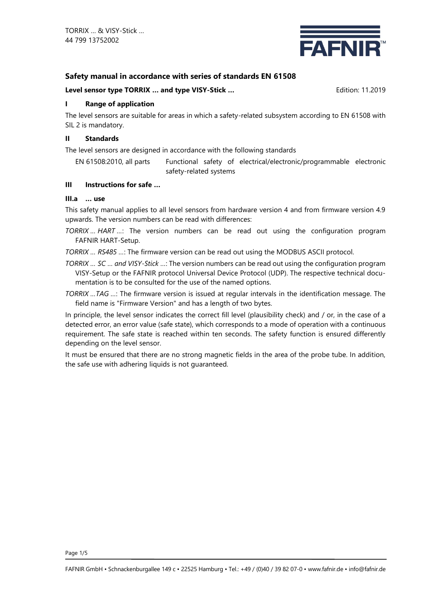

# **Safety manual in accordance with series of standards EN 61508**

#### **Level sensor type TORRIX** ... and type VISY-Stick ... **Example 2018** Edition: 11.2019

# **I Range of application**

The level sensors are suitable for areas in which a safety-related subsystem according to EN 61508 with SIL 2 is mandatory.

#### **II Standards**

The level sensors are designed in accordance with the following standards

EN 61508:2010, all parts Functional safety of electrical/electronic/programmable electronic safety-related systems

## **III Instructions for safe …**

## **III.a … use**

This safety manual applies to all level sensors from hardware version 4 and from firmware version 4.9 upwards. The version numbers can be read with differences:

*TORRIX … HART …*: The version numbers can be read out using the configuration program FAFNIR HART-Setup.

*TORRIX … RS485 …*: The firmware version can be read out using the MODBUS ASCII protocol.

*TORRIX … SC … and VISY-Stick …*: The version numbers can be read out using the configuration program VISY-Setup or the FAFNIR protocol Universal Device Protocol (UDP). The respective technical documentation is to be consulted for the use of the named options.

*TORRIX …TAG …*: The firmware version is issued at regular intervals in the identification message. The field name is "Firmware Version" and has a length of two bytes.

In principle, the level sensor indicates the correct fill level (plausibility check) and / or, in the case of a detected error, an error value (safe state), which corresponds to a mode of operation with a continuous requirement. The safe state is reached within ten seconds. The safety function is ensured differently depending on the level sensor.

It must be ensured that there are no strong magnetic fields in the area of the probe tube. In addition, the safe use with adhering liquids is not guaranteed.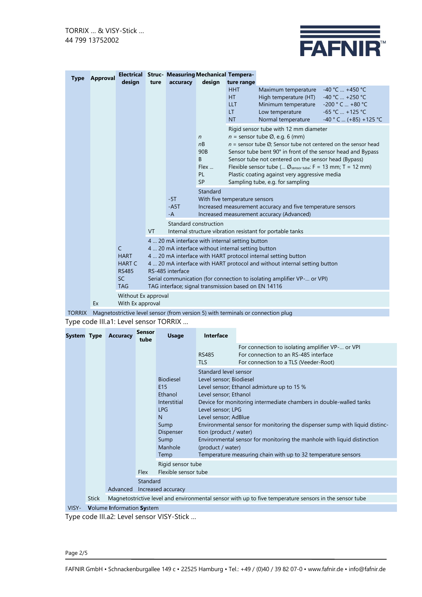

| <b>Type</b> | <b>Approval</b> | Electrical                                                                                          |           |                                                                                                                                                                                                                                                                                                                                                                                                                                                                         | <b>Struc- Measuring Mechanical Tempera-</b>                                                                                                                                    |                                                                         |                                                                                                                                                                                                                                                                                                                                                                                                                                                                          |                                                                                                          |  |  |
|-------------|-----------------|-----------------------------------------------------------------------------------------------------|-----------|-------------------------------------------------------------------------------------------------------------------------------------------------------------------------------------------------------------------------------------------------------------------------------------------------------------------------------------------------------------------------------------------------------------------------------------------------------------------------|--------------------------------------------------------------------------------------------------------------------------------------------------------------------------------|-------------------------------------------------------------------------|--------------------------------------------------------------------------------------------------------------------------------------------------------------------------------------------------------------------------------------------------------------------------------------------------------------------------------------------------------------------------------------------------------------------------------------------------------------------------|----------------------------------------------------------------------------------------------------------|--|--|
|             |                 | design                                                                                              | ture      | accuracy                                                                                                                                                                                                                                                                                                                                                                                                                                                                | design                                                                                                                                                                         | ture range<br><b>HHT</b><br><b>HT</b><br><b>LLT</b><br>LT.<br><b>NT</b> | Maximum temperature<br>High temperature (HT)<br>Minimum temperature<br>Low temperature<br>Normal temperature                                                                                                                                                                                                                                                                                                                                                             | $-40 °C$ +450 °C<br>$-40 °C$ +250 °C<br>$-200 °C$ +80 °C<br>$-65 °C$ +125 °C<br>$-40$ ° C  (+85) +125 °C |  |  |
|             |                 |                                                                                                     |           |                                                                                                                                                                                                                                                                                                                                                                                                                                                                         | $\mathsf{n}$<br>nB<br>90 <sub>B</sub><br>B<br>Flex<br>PL<br><b>SP</b>                                                                                                          |                                                                         | Rigid sensor tube with 12 mm diameter<br>$n =$ sensor tube $\varnothing$ , e.g. 6 (mm)<br>$n =$ sensor tube $\emptyset$ ; Sensor tube not centered on the sensor head<br>Sensor tube bent 90° in front of the sensor head and Bypass<br>Sensor tube not centered on the sensor head (Bypass)<br>Flexible sensor tube ( $\varnothing$ <sub>sensor tube</sub> : F = 13 mm; T = 12 mm)<br>Plastic coating against very aggressive media<br>Sampling tube, e.g. for sampling |                                                                                                          |  |  |
|             |                 |                                                                                                     |           | $-5T$<br>$-AST$<br>$-A$                                                                                                                                                                                                                                                                                                                                                                                                                                                 | Standard<br>With five temperature sensors<br>Increased measurement accuracy and five temperature sensors<br>Increased measurement accuracy (Advanced)<br>Standard construction |                                                                         |                                                                                                                                                                                                                                                                                                                                                                                                                                                                          |                                                                                                          |  |  |
|             |                 | C<br><b>HART</b><br><b>HART C</b><br><b>RS485</b><br><b>SC</b><br><b>TAG</b><br>Without Ex approval | <b>VT</b> | Internal structure vibration resistant for portable tanks<br>4  20 mA interface with internal setting button<br>4  20 mA interface without internal setting button<br>4  20 mA interface with HART protocol internal setting button<br>4  20 mA interface with HART protocol and without internal setting button<br>RS-485 interface<br>Serial communication (for connection to isolating amplifier VP- or VPI)<br>TAG interface; signal transmission based on EN 14116 |                                                                                                                                                                                |                                                                         |                                                                                                                                                                                                                                                                                                                                                                                                                                                                          |                                                                                                          |  |  |
|             | Ex              | With Ex approval                                                                                    |           |                                                                                                                                                                                                                                                                                                                                                                                                                                                                         |                                                                                                                                                                                |                                                                         |                                                                                                                                                                                                                                                                                                                                                                                                                                                                          |                                                                                                          |  |  |

TORRIX Magnetostrictive level sensor (from version 5) with terminals or connection plug

Type code III.a1: Level sensor TORRIX …

| System Type |              | <b>Accuracy</b>                                                                                        | <b>Sensor</b><br>tube          | <b>Usage</b>                                                                                                                             | Interface                                                                                                                                                                                                                                                                                                                                                                                                                                                                                                            |                                                                                                                                    |  |  |  |  |
|-------------|--------------|--------------------------------------------------------------------------------------------------------|--------------------------------|------------------------------------------------------------------------------------------------------------------------------------------|----------------------------------------------------------------------------------------------------------------------------------------------------------------------------------------------------------------------------------------------------------------------------------------------------------------------------------------------------------------------------------------------------------------------------------------------------------------------------------------------------------------------|------------------------------------------------------------------------------------------------------------------------------------|--|--|--|--|
|             |              |                                                                                                        |                                |                                                                                                                                          | <b>RS485</b><br><b>TLS</b>                                                                                                                                                                                                                                                                                                                                                                                                                                                                                           | For connection to isolating amplifier VP- or VPI<br>For connection to an RS-485 interface<br>For connection to a TLS (Veeder-Root) |  |  |  |  |
|             |              |                                                                                                        |                                | <b>Biodiesel</b><br>E <sub>15</sub><br>Ethanol<br>Interstitial<br><b>LPG</b><br>N<br>Sump<br><b>Dispenser</b><br>Sump<br>Manhole<br>Temp | Standard level sensor<br>Level sensor; Biodiesel<br>Level sensor; Ethanol admixture up to 15 %<br>Level sensor; Ethanol<br>Device for monitoring intermediate chambers in double-walled tanks<br>Level sensor; LPG<br>Level sensor; AdBlue<br>Environmental sensor for monitoring the dispenser sump with liquid distinc-<br>tion (product / water)<br>Environmental sensor for monitoring the manhole with liquid distinction<br>(product / water)<br>Temperature measuring chain with up to 32 temperature sensors |                                                                                                                                    |  |  |  |  |
|             |              |                                                                                                        | <b>Flex</b>                    | Rigid sensor tube<br>Flexible sensor tube                                                                                                |                                                                                                                                                                                                                                                                                                                                                                                                                                                                                                                      |                                                                                                                                    |  |  |  |  |
|             |              | Advanced                                                                                               | Standard<br>Increased accuracy |                                                                                                                                          |                                                                                                                                                                                                                                                                                                                                                                                                                                                                                                                      |                                                                                                                                    |  |  |  |  |
|             | <b>Stick</b> | Magnetostrictive level and environmental sensor with up to five temperature sensors in the sensor tube |                                |                                                                                                                                          |                                                                                                                                                                                                                                                                                                                                                                                                                                                                                                                      |                                                                                                                                    |  |  |  |  |
| <b>MCV</b>  |              | Volume Information Custom                                                                              |                                |                                                                                                                                          |                                                                                                                                                                                                                                                                                                                                                                                                                                                                                                                      |                                                                                                                                    |  |  |  |  |

VISY- **V**olume **I**nformation **Sy**stem

Type code III.a2: Level sensor VISY-Stick …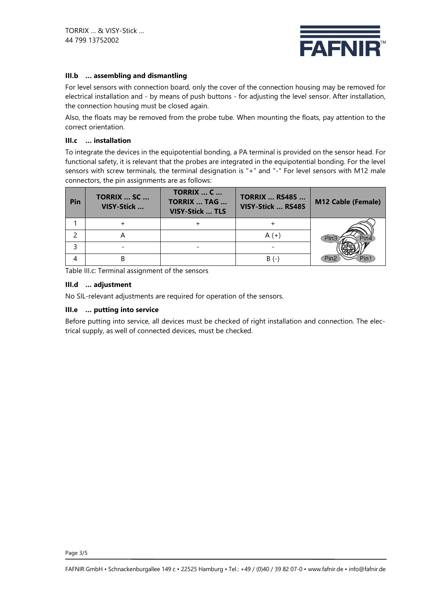

# **III.b … assembling and dismantling**

For level sensors with connection board, only the cover of the connection housing may be removed for electrical installation and - by means of push buttons - for adjusting the level sensor. After installation, the connection housing must be closed again.

Also, the floats may be removed from the probe tube. When mounting the floats, pay attention to the correct orientation.

#### **III.c … installation**

To integrate the devices in the equipotential bonding, a PA terminal is provided on the sensor head. For functional safety, it is relevant that the probes are integrated in the equipotential bonding. For the level sensors with screw terminals, the terminal designation is "+" and "-" For level sensors with M12 male connectors, the pin assignments are as follows:

| Pin | <b>TORRIX  SC </b><br>VISY-Stick | <b>TORRIX  C </b><br><b>TORRIX  TAG </b><br><b>VISY-Stick  TLS</b> | <b>TORRIX  RS485 </b><br>VISY-Stick  RS485 | <b>M12 Cable (Female)</b> |
|-----|----------------------------------|--------------------------------------------------------------------|--------------------------------------------|---------------------------|
|     |                                  |                                                                    |                                            |                           |
|     |                                  |                                                                    |                                            |                           |
|     |                                  |                                                                    |                                            |                           |
|     |                                  |                                                                    | B (-                                       |                           |

Table III.c: Terminal assignment of the sensors

#### **III.d … adjustment**

No SIL-relevant adjustments are required for operation of the sensors.

#### **III.e … putting into service**

Before putting into service, all devices must be checked of right installation and connection. The electrical supply, as well of connected devices, must be checked.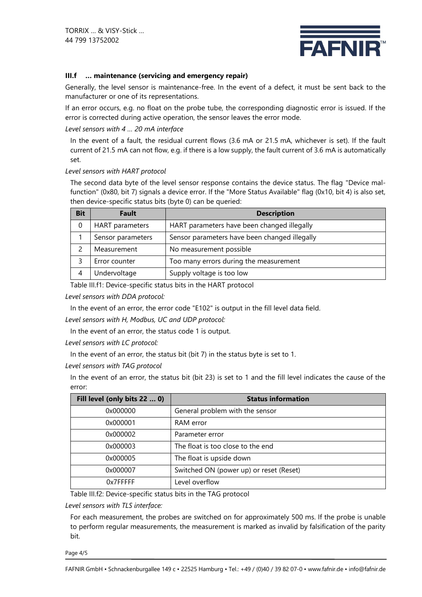

#### **III.f … maintenance (servicing and emergency repair)**

Generally, the level sensor is maintenance-free. In the event of a defect, it must be sent back to the manufacturer or one of its representations.

If an error occurs, e.g. no float on the probe tube, the corresponding diagnostic error is issued. If the error is corrected during active operation, the sensor leaves the error mode.

#### *Level sensors with 4 … 20 mA interface*

In the event of a fault, the residual current flows (3.6 mA or 21.5 mA, whichever is set). If the fault current of 21.5 mA can not flow, e.g. if there is a low supply, the fault current of 3.6 mA is automatically set.

#### *Level sensors with HART protocol*

The second data byte of the level sensor response contains the device status. The flag "Device malfunction" (0x80, bit 7) signals a device error. If the "More Status Available" flag (0x10, bit 4) is also set, then device-specific status bits (byte 0) can be queried:

| <b>Bit</b> | <b>Fault</b>      | <b>Description</b>                            |  |  |
|------------|-------------------|-----------------------------------------------|--|--|
| 0          | HART parameters   | HART parameters have been changed illegally   |  |  |
|            | Sensor parameters | Sensor parameters have been changed illegally |  |  |
|            | Measurement       | No measurement possible                       |  |  |
|            | Error counter     | Too many errors during the measurement        |  |  |
| 4          | Undervoltage      | Supply voltage is too low                     |  |  |

Table III.f1: Device-specific status bits in the HART protocol

*Level sensors with DDA protocol:*

In the event of an error, the error code "E102" is output in the fill level data field.

*Level sensors with H, Modbus, UC and UDP protocol:*

In the event of an error, the status code 1 is output.

*Level sensors with LC protocol:*

In the event of an error, the status bit (bit 7) in the status byte is set to 1.

*Level sensors with TAG protocol*

In the event of an error, the status bit (bit 23) is set to 1 and the fill level indicates the cause of the error:

| Fill level (only bits 22  0) | <b>Status information</b>               |
|------------------------------|-----------------------------------------|
| 0x000000                     | General problem with the sensor         |
| 0x000001                     | RAM error                               |
| 0x000002                     | Parameter error                         |
| 0x000003                     | The float is too close to the end       |
| 0x000005                     | The float is upside down                |
| 0x000007                     | Switched ON (power up) or reset (Reset) |
| 0x7FFFFF                     | Level overflow                          |

Table III.f2: Device-specific status bits in the TAG protocol

*Level sensors with TLS interface:*

For each measurement, the probes are switched on for approximately 500 ms. If the probe is unable to perform regular measurements, the measurement is marked as invalid by falsification of the parity bit.

Page 4/5